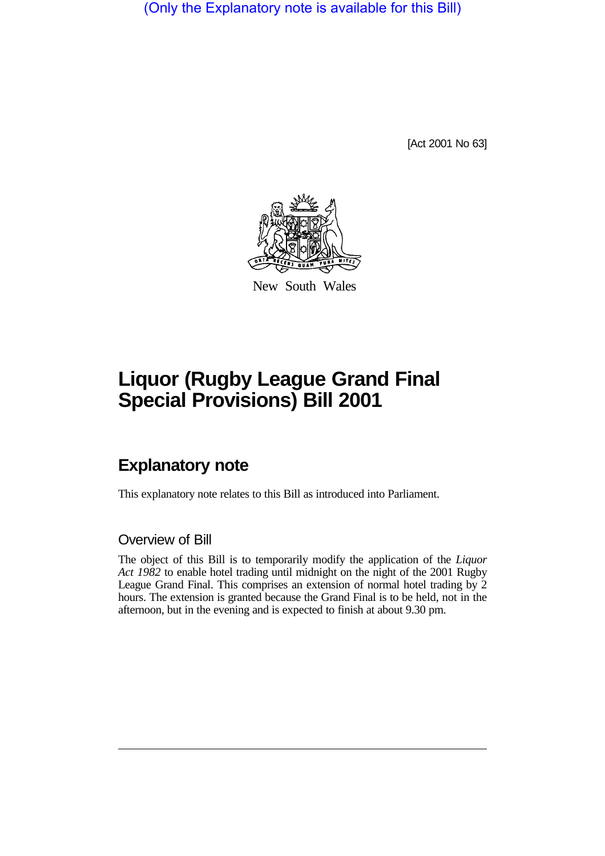(Only the Explanatory note is available for this Bill)

[Act 2001 No 63]



New South Wales

## **Liquor (Rugby League Grand Final Special Provisions) Bill 2001**

## **Explanatory note**

This explanatory note relates to this Bill as introduced into Parliament.

## Overview of Bill

The object of this Bill is to temporarily modify the application of the *Liquor Act 1982* to enable hotel trading until midnight on the night of the 2001 Rugby League Grand Final. This comprises an extension of normal hotel trading by 2 hours. The extension is granted because the Grand Final is to be held, not in the afternoon, but in the evening and is expected to finish at about 9.30 pm.